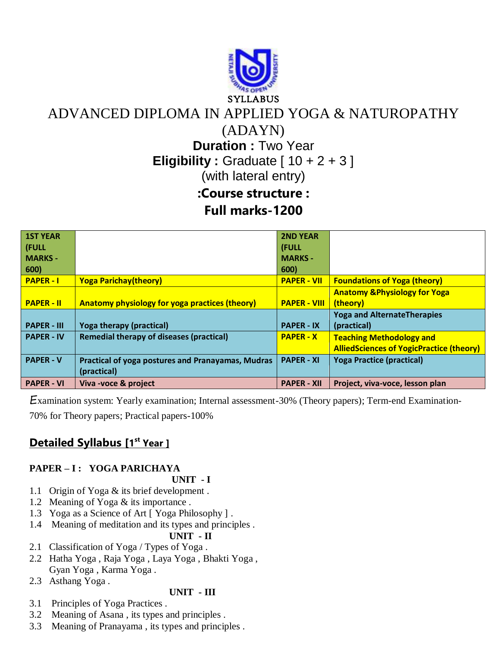

# ADVANCED DIPLOMA IN APPLIED YOGA & NATUROPATHY

# (ADAYN)

# **Duration :** Two Year

# **Eligibility : Graduate [ 10 + 2 + 3 ]**

(with lateral entry)

# **:Course structure :**

# **Full marks-1200**

| <b>1ST YEAR</b>    |                                                   | <b>2ND YEAR</b>     |                                                 |
|--------------------|---------------------------------------------------|---------------------|-------------------------------------------------|
| (FULL              |                                                   | (FULL               |                                                 |
| <b>MARKS-</b>      |                                                   | <b>MARKS-</b>       |                                                 |
| 600)               |                                                   | 600)                |                                                 |
| <b>PAPER-I</b>     | <b>Yoga Parichay(theory)</b>                      | <b>PAPER - VII</b>  | <b>Foundations of Yoga (theory)</b>             |
|                    |                                                   |                     | <b>Anatomy &amp; Physiology for Yoga</b>        |
| <b>PAPER - II</b>  | Anatomy physiology for yoga practices (theory)    | <b>PAPER - VIII</b> | (theory)                                        |
|                    |                                                   |                     | <b>Yoga and AlternateTherapies</b>              |
| <b>PAPER - III</b> | <b>Yoga therapy (practical)</b>                   | <b>PAPER - IX</b>   | (practical)                                     |
| <b>PAPER - IV</b>  | <b>Remedial therapy of diseases (practical)</b>   | <b>PAPER - X</b>    | <b>Teaching Methodology and</b>                 |
|                    |                                                   |                     | <b>AlliedSciences of YogicPractice (theory)</b> |
| <b>PAPER - V</b>   | Practical of yoga postures and Pranayamas, Mudras | <b>PAPER - XI</b>   | <b>Yoga Practice (practical)</b>                |
|                    | (practical)                                       |                     |                                                 |
| <b>PAPER - VI</b>  | Viva - voce & project                             | <b>PAPER - XII</b>  | Project, viva-voce, lesson plan                 |

Examination system: Yearly examination; Internal assessment-30% (Theory papers); Term-end Examination-70% for Theory papers; Practical papers-100%

# **Detailed Syllabus** [1<sup>st</sup> Year]

## **PAPER – I : YOGA PARICHAYA**

#### **UNIT - I**

- 1.1 Origin of Yoga & its brief development .
- 1.2 Meaning of Yoga & its importance .
- 1.3 Yoga as a Science of Art [ Yoga Philosophy ] .

#### 1.4 Meaning of meditation and its types and principles .

#### **UNIT - II**

- 2.1 Classification of Yoga / Types of Yoga .
- 2.2 Hatha Yoga , Raja Yoga , Laya Yoga , Bhakti Yoga , Gyan Yoga , Karma Yoga .
- 2.3 Asthang Yoga .

#### **UNIT - III**

- 3.1 Principles of Yoga Practices .
- 3.2 Meaning of Asana , its types and principles .
- 3.3 Meaning of Pranayama , its types and principles .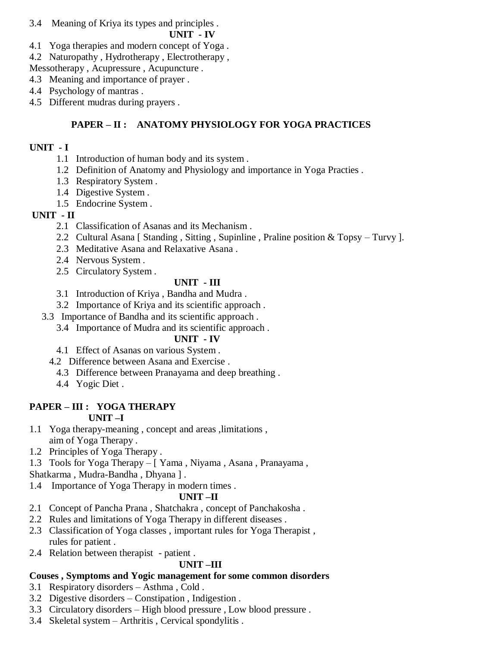3.4 Meaning of Kriya its types and principles .

#### **UNIT - IV**

- 4.1 Yoga therapies and modern concept of Yoga .
- 4.2 Naturopathy , Hydrotherapy , Electrotherapy ,

Messotherapy , Acupressure , Acupuncture .

- 4.3 Meaning and importance of prayer .
- 4.4 Psychology of mantras .
- 4.5 Different mudras during prayers .

## **PAPER – II : ANATOMY PHYSIOLOGY FOR YOGA PRACTICES**

#### **UNIT - I**

- 1.1 Introduction of human body and its system .
- 1.2 Definition of Anatomy and Physiology and importance in Yoga Practies .
- 1.3 Respiratory System .
- 1.4 Digestive System .
- 1.5 Endocrine System .

## **UNIT - II**

- 2.1 Classification of Asanas and its Mechanism .
- 2.2 Cultural Asana [ Standing , Sitting , Supinline , Praline position & Topsy Turvy ].
- 2.3 Meditative Asana and Relaxative Asana .
- 2.4 Nervous System .
- 2.5 Circulatory System .

## **UNIT - III**

- 3.1 Introduction of Kriya , Bandha and Mudra .
- 3.2 Importance of Kriya and its scientific approach .
- 3.3 Importance of Bandha and its scientific approach .
	- 3.4 Importance of Mudra and its scientific approach .

## **UNIT - IV**

- 4.1 Effect of Asanas on various System .
- 4.2 Difference between Asana and Exercise .
	- 4.3 Difference between Pranayama and deep breathing .
	- 4.4 Yogic Diet .

# **PAPER – III : YOGA THERAPY**

## **UNIT –I**

- 1.1 Yoga therapy-meaning , concept and areas ,limitations , aim of Yoga Therapy .
- 1.2 Principles of Yoga Therapy .
- 1.3 Tools for Yoga Therapy [ Yama , Niyama , Asana , Pranayama ,
- Shatkarma , Mudra-Bandha , Dhyana ] .
- 1.4 Importance of Yoga Therapy in modern times .

## **UNIT –II**

- 2.1 Concept of Pancha Prana , Shatchakra , concept of Panchakosha .
- 2.2 Rules and limitations of Yoga Therapy in different diseases .
- 2.3 Classification of Yoga classes , important rules for Yoga Therapist , rules for patient .
- 2.4 Relation between therapist patient .

## **UNIT –III**

## **Couses , Symptoms and Yogic management for some common disorders**

- 3.1 Respiratory disorders Asthma , Cold .
- 3.2 Digestive disorders Constipation , Indigestion .
- 3.3 Circulatory disorders High blood pressure , Low blood pressure .
- 3.4 Skeletal system Arthritis , Cervical spondylitis .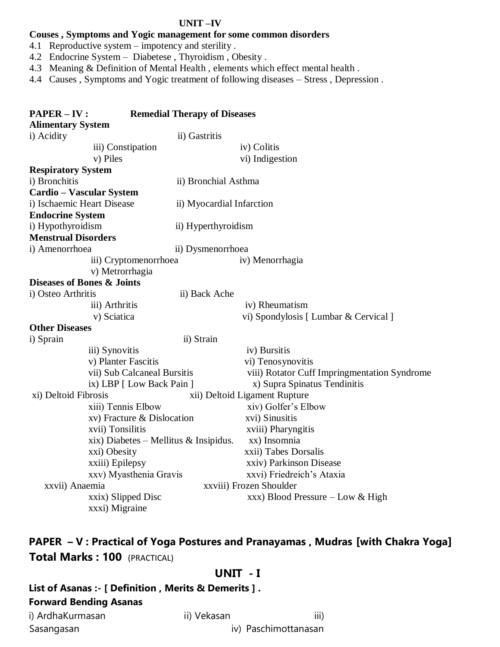#### **UNIT –IV**

#### **Couses , Symptoms and Yogic management for some common disorders**

- 4.1 Reproductive system impotency and sterility .
- 4.2 Endocrine System Diabetese , Thyroidism , Obesity .
- 4.3 Meaning & Definition of Mental Health , elements which effect mental health .

4.4 Causes , Symptoms and Yogic treatment of following diseases – Stress , Depression .

| $PAPER - IV:$                         | <b>Remedial Therapy of Diseases</b>   |                                              |
|---------------------------------------|---------------------------------------|----------------------------------------------|
| <b>Alimentary System</b>              |                                       |                                              |
| i) Acidity                            | ii) Gastritis                         |                                              |
|                                       | iii) Constipation                     | iv) Colitis                                  |
| v) Piles                              |                                       | vi) Indigestion                              |
| <b>Respiratory System</b>             |                                       |                                              |
| i) Bronchitis                         | ii) Bronchial Asthma                  |                                              |
| <b>Cardio - Vascular System</b>       |                                       |                                              |
| i) Ischaemic Heart Disease            | ii) Myocardial Infarction             |                                              |
| <b>Endocrine System</b>               |                                       |                                              |
| i) Hypothyroidism                     | ii) Hyperthyroidism                   |                                              |
| <b>Menstrual Disorders</b>            |                                       |                                              |
| i) Amenorrhoea                        | ii) Dysmenorrhoea                     |                                              |
|                                       | iii) Cryptomenorrhoea                 | iv) Menorrhagia                              |
| v) Metrorrhagia                       |                                       |                                              |
| <b>Diseases of Bones &amp; Joints</b> |                                       |                                              |
| i) Osteo Arthritis                    | ii) Back Ache                         |                                              |
| iii) Arthritis                        |                                       | iv) Rheumatism                               |
| v) Sciatica                           |                                       | vi) Spondylosis [ Lumbar & Cervical ]        |
| <b>Other Diseases</b>                 |                                       |                                              |
| i) Sprain                             | ii) Strain                            |                                              |
| iii) Synovitis                        |                                       | iv) Bursitis                                 |
| v) Planter Fascitis                   |                                       | vi) Tenosynovitis                            |
|                                       | vii) Sub Calcaneal Bursitis           | viii) Rotator Cuff Impringmentation Syndrome |
|                                       | ix) LBP [ Low Back Pain ]             | x) Supra Spinatus Tendinitis                 |
| xi) Deltoid Fibrosis                  |                                       | xii) Deltoid Ligament Rupture                |
| xiii) Tennis Elbow                    |                                       | xiv) Golfer's Elbow                          |
|                                       | xv) Fracture & Dislocation            | xvi) Sinusitis                               |
| xvii) Tonsilitis                      |                                       | xviii) Pharyngitis                           |
|                                       | xix) Diabetes – Mellitus & Insipidus. | xx) Insomnia                                 |
| xxi) Obesity                          |                                       | xxii) Tabes Dorsalis                         |
| xxiii) Epilepsy                       |                                       | xxiv) Parkinson Disease                      |
|                                       | xxv) Myasthenia Gravis                | xxvi) Friedreich's Ataxia                    |
| xxvii) Anaemia                        |                                       | xxviii) Frozen Shoulder                      |
| xxix) Slipped Disc                    |                                       | $\langle$ xxx) Blood Pressure – Low & High   |
| xxxi) Migraine                        |                                       |                                              |

## **PAPER – V : Practical of Yoga Postures and Pranayamas , Mudras [with Chakra Yoga]**

**Total Marks : 100** (PRACTICAL)

#### **UNIT - I**

| List of Asanas :- [ Definition, Merits & Demerits ]. |             |                      |  |
|------------------------------------------------------|-------------|----------------------|--|
| <b>Forward Bending Asanas</b>                        |             |                      |  |
| i) ArdhaKurmasan                                     | ii) Vekasan | iii)                 |  |
| Sasangasan                                           |             | iv) Paschimottanasan |  |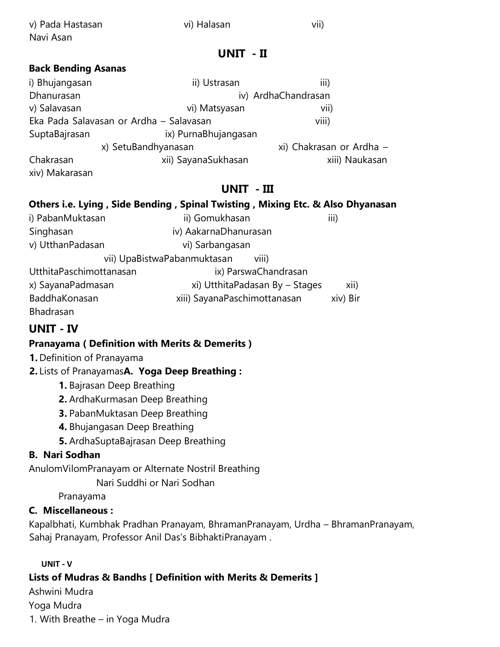| v) Pada Hastasan                        | vi) Halasan                          | vii)                                                                           |
|-----------------------------------------|--------------------------------------|--------------------------------------------------------------------------------|
| Navi Asan                               |                                      |                                                                                |
|                                         | UNIT - II                            |                                                                                |
| <b>Back Bending Asanas</b>              |                                      |                                                                                |
| i) Bhujangasan                          | ii) Ustrasan                         | iii)                                                                           |
| Dhanurasan                              | iv) ArdhaChandrasan                  |                                                                                |
| v) Salavasan                            | vi) Matsyasan                        | vii)                                                                           |
| Eka Pada Salavasan or Ardha - Salavasan |                                      | viii)                                                                          |
| SuptaBajrasan                           | ix) PurnaBhujangasan                 |                                                                                |
|                                         | x) SetuBandhyanasan                  | xi) Chakrasan or Ardha -                                                       |
| Chakrasan                               | xii) SayanaSukhasan                  | xiii) Naukasan                                                                 |
| xiv) Makarasan                          |                                      |                                                                                |
|                                         | UNIT - III                           |                                                                                |
|                                         |                                      | Others i.e. Lying, Side Bending, Spinal Twisting, Mixing Etc. & Also Dhyanasan |
| i) PabanMuktasan                        | ii) Gomukhasan                       | iii)                                                                           |
| Singhasan                               | iv) AakarnaDhanurasan                |                                                                                |
| v) UtthanPadasan                        | vi) Sarbangasan                      |                                                                                |
|                                         | vii) UpaBistwaPabanmuktasan<br>viii) |                                                                                |
| UtthitaPaschimottanasan                 | ix) ParswaChandrasan                 |                                                                                |
| x) SavanaPadmasan                       | xi) UtthitaPadasan By – Stages       | XII)                                                                           |

x) SayanaPadmasan xi) UtthitaPadasan By – Stages xii) BaddhaKonasan xiii) SayanaPaschimottanasan xiv) Bir Bhadrasan

## **UNIT - IV**

## **Pranayama ( Definition with Merits & Demerits )**

**1.** Definition of Pranayama

## **2.** Lists of Pranayamas**A. Yoga Deep Breathing :**

- **1.** Bajrasan Deep Breathing
- **2.** ArdhaKurmasan Deep Breathing
- **3.** PabanMuktasan Deep Breathing
- **4.** Bhujangasan Deep Breathing
- **5.** ArdhaSuptaBajrasan Deep Breathing

## **B. Nari Sodhan**

AnulomVilomPranayam or Alternate Nostril Breathing

Nari Suddhi or Nari Sodhan

Pranayama

## **C. Miscellaneous :**

Kapalbhati, Kumbhak Pradhan Pranayam, BhramanPranayam, Urdha – BhramanPranayam, Sahaj Pranayam, Professor Anil Das's BibhaktiPranayam .

## **UNIT - V**

## **Lists of Mudras & Bandhs [ Definition with Merits & Demerits ]**

Ashwini Mudra Yoga Mudra 1. With Breathe – in Yoga Mudra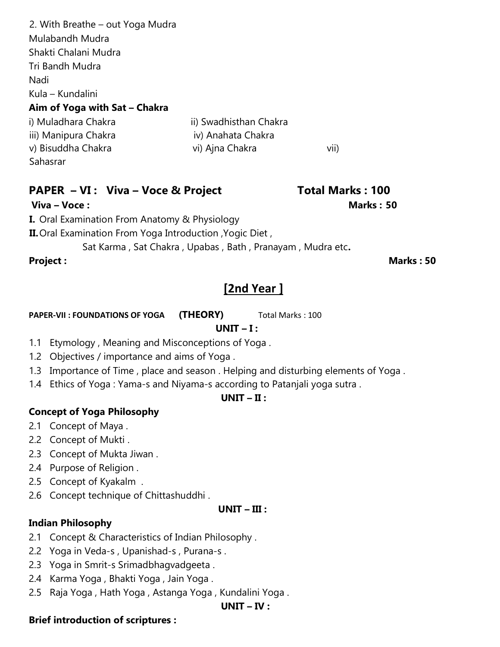2. With Breathe – out Yoga Mudra Mulabandh Mudra Shakti Chalani Mudra Tri Bandh Mudra Nadi Kula – Kundalini **Aim of Yoga with Sat – Chakra** i) Muladhara Chakra iii) Swadhisthan Chakra iii) Manipura Chakra iv) Anahata Chakra v) Bisuddha Chakra vi) Ajna Chakra vii) Sahasrar

## **PAPER – VI : Viva – Voce & Project Total Marks : 100**

**I.** Oral Examination From Anatomy & Physiology

**II.**Oral Examination From Yoga Introduction ,Yogic Diet ,

Sat Karma , Sat Chakra , Upabas , Bath , Pranayam , Mudra etc**.** 

#### Project : **Marks : 50 Marks** : 50

# **[2nd Year ]**

#### **PAPER-VII : FOUNDATIONS OF YOGA (THEORY)** Total Marks : 100

 **UNIT – I :** 

1.1 Etymology , Meaning and Misconceptions of Yoga .

1.2 Objectives / importance and aims of Yoga .

1.3 Importance of Time , place and season . Helping and disturbing elements of Yoga .

1.4 Ethics of Yoga : Yama-s and Niyama-s according to Patanjali yoga sutra .

## **UNIT – II :**

## **Concept of Yoga Philosophy**

- 2.1 Concept of Maya .
- 2.2 Concept of Mukti .
- 2.3 Concept of Mukta Jiwan .
- 2.4 Purpose of Religion .
- 2.5 Concept of Kyakalm .
- 2.6 Concept technique of Chittashuddhi .

## **UNIT – III :**

## **Indian Philosophy**

- 2.1 Concept & Characteristics of Indian Philosophy .
- 2.2 Yoga in Veda-s , Upanishad-s , Purana-s .
- 2.3 Yoga in Smrit-s Srimadbhagvadgeeta .
- 2.4 Karma Yoga , Bhakti Yoga , Jain Yoga .
- 2.5 Raja Yoga , Hath Yoga , Astanga Yoga , Kundalini Yoga .

## **UNIT – IV :**

## **Brief introduction of scriptures :**

**Viva – Voce : Marks : 50**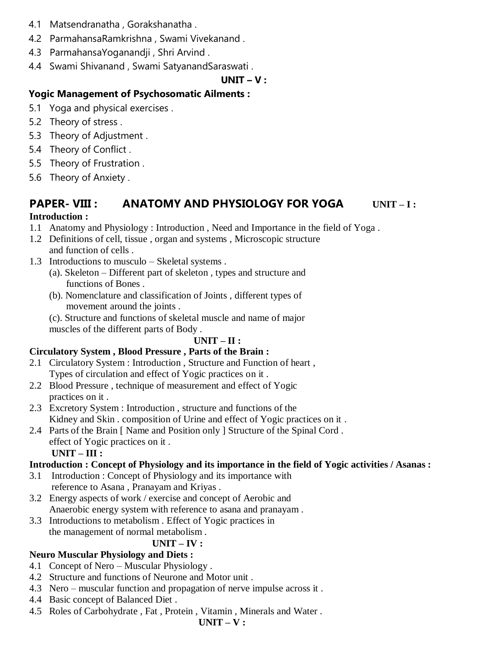- 4.1 Matsendranatha , Gorakshanatha .
- 4.2 ParmahansaRamkrishna , Swami Vivekanand .
- 4.3 ParmahansaYoganandji , Shri Arvind .
- 4.4 Swami Shivanand , Swami SatyanandSaraswati .

## **UNIT – V :**

## **Yogic Management of Psychosomatic Ailments :**

- 5.1 Yoga and physical exercises .
- 5.2 Theory of stress .
- 5.3 Theory of Adjustment .
- 5.4 Theory of Conflict .
- 5.5 Theory of Frustration .
- 5.6 Theory of Anxiety .

# **PAPER- VIII : ANATOMY AND PHYSIOLOGY FOR YOGA UNIT-I :**

## **Introduction :**

- 1.1 Anatomy and Physiology : Introduction , Need and Importance in the field of Yoga .
- 1.2 Definitions of cell, tissue , organ and systems , Microscopic structure and function of cells .
- 1.3 Introductions to musculo Skeletal systems .
	- (a). Skeleton Different part of skeleton , types and structure and functions of Bones .
	- (b). Nomenclature and classification of Joints , different types of movement around the joints .
	- (c). Structure and functions of skeletal muscle and name of major muscles of the different parts of Body .

## **UNIT – II :**

## **Circulatory System , Blood Pressure , Parts of the Brain :**

- 2.1 Circulatory System : Introduction , Structure and Function of heart , Types of circulation and effect of Yogic practices on it .
- 2.2 Blood Pressure , technique of measurement and effect of Yogic practices on it .
- 2.3 Excretory System : Introduction , structure and functions of the Kidney and Skin . composition of Urine and effect of Yogic practices on it .
- 2.4 Parts of the Brain [ Name and Position only ] Structure of the Spinal Cord . effect of Yogic practices on it .

## **UNIT – III :**

## **Introduction : Concept of Physiology and its importance in the field of Yogic activities / Asanas :**

- 3.1 Introduction : Concept of Physiology and its importance with reference to Asana , Pranayam and Kriyas .
- 3.2 Energy aspects of work / exercise and concept of Aerobic and Anaerobic energy system with reference to asana and pranayam .
- 3.3 Introductions to metabolism . Effect of Yogic practices in the management of normal metabolism .

## **UNIT – IV :**

## **Neuro Muscular Physiology and Diets :**

- 4.1 Concept of Nero Muscular Physiology .
- 4.2 Structure and functions of Neurone and Motor unit .
- 4.3 Nero muscular function and propagation of nerve impulse across it .
- 4.4 Basic concept of Balanced Diet .
- 4.5 Roles of Carbohydrate , Fat , Protein , Vitamin , Minerals and Water .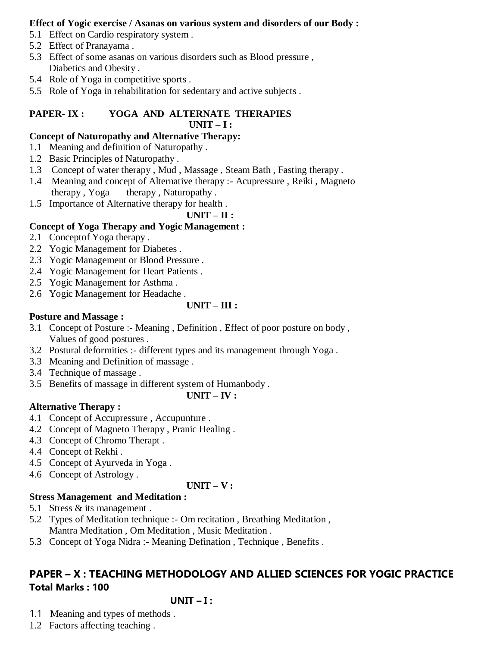#### **Effect of Yogic exercise / Asanas on various system and disorders of our Body :**

- 5.1 Effect on Cardio respiratory system .
- 5.2 Effect of Pranayama .
- 5.3 Effect of some asanas on various disorders such as Blood pressure , Diabetics and Obesity .
- 5.4 Role of Yoga in competitive sports .
- 5.5 Role of Yoga in rehabilitation for sedentary and active subjects .

#### **PAPER- IX : YOGA AND ALTERNATE THERAPIES UNIT – I :**

#### **Concept of Naturopathy and Alternative Therapy:**

- 1.1 Meaning and definition of Naturopathy .
- 1.2 Basic Principles of Naturopathy .
- 1.3 Concept of water therapy , Mud , Massage , Steam Bath , Fasting therapy .
- 1.4 Meaning and concept of Alternative therapy :- Acupressure , Reiki , Magneto therapy, Yoga therapy, Naturopathy.
- 1.5 Importance of Alternative therapy for health .

#### **UNIT – II :**

#### **Concept of Yoga Therapy and Yogic Management :**

- 2.1 Conceptof Yoga therapy .
- 2.2 Yogic Management for Diabetes .
- 2.3 Yogic Management or Blood Pressure .
- 2.4 Yogic Management for Heart Patients .
- 2.5 Yogic Management for Asthma .
- 2.6 Yogic Management for Headache .

#### **UNIT – III :**

## **Posture and Massage :**

- 3.1 Concept of Posture :- Meaning , Definition , Effect of poor posture on body , Values of good postures .
- 3.2 Postural deformities :- different types and its management through Yoga .
- 3.3 Meaning and Definition of massage .
- 3.4 Technique of massage .
- 3.5 Benefits of massage in different system of Humanbody .

#### **UNIT – IV :**

## **Alternative Therapy :**

- 4.1 Concept of Accupressure , Accupunture .
- 4.2 Concept of Magneto Therapy , Pranic Healing .
- 4.3 Concept of Chromo Therapt .
- 4.4 Concept of Rekhi .
- 4.5 Concept of Ayurveda in Yoga .
- 4.6 Concept of Astrology .

## **UNIT – V :**

## **Stress Management and Meditation :**

- 5.1 Stress & its management .
- 5.2 Types of Meditation technique :- Om recitation , Breathing Meditation , Mantra Meditation , Om Meditation , Music Meditation .
- 5.3 Concept of Yoga Nidra :- Meaning Defination , Technique , Benefits .

## **PAPER – X : TEACHING METHODOLOGY AND ALLIED SCIENCES FOR YOGIC PRACTICE Total Marks : 100**

## **UNIT – I :**

- 1.1 Meaning and types of methods .
- 1.2 Factors affecting teaching .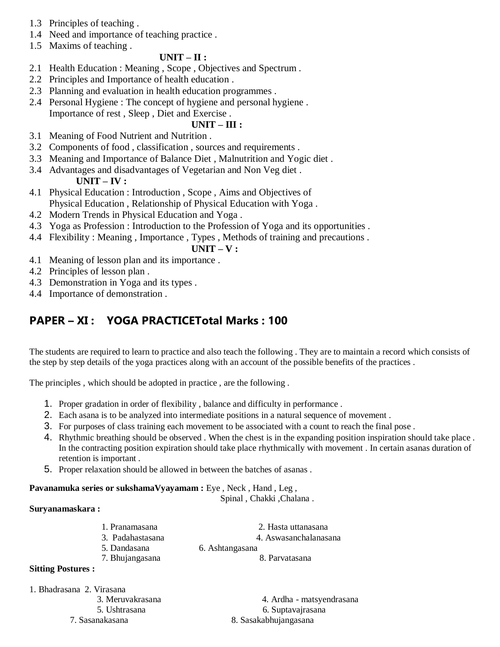- 1.3 Principles of teaching .
- 1.4 Need and importance of teaching practice .
- 1.5 Maxims of teaching .

## **UNIT – II :**

- 2.1 Health Education : Meaning , Scope , Objectives and Spectrum .
- 2.2 Principles and Importance of health education .
- 2.3 Planning and evaluation in health education programmes .
- 2.4 Personal Hygiene : The concept of hygiene and personal hygiene . Importance of rest , Sleep , Diet and Exercise .

## **UNIT – III :**

- 3.1 Meaning of Food Nutrient and Nutrition .
- 3.2 Components of food , classification , sources and requirements .
- 3.3 Meaning and Importance of Balance Diet , Malnutrition and Yogic diet .
- 3.4 Advantages and disadvantages of Vegetarian and Non Veg diet .

## **UNIT – IV :**

- 4.1 Physical Education : Introduction , Scope , Aims and Objectives of Physical Education , Relationship of Physical Education with Yoga .
- 4.2 Modern Trends in Physical Education and Yoga .
- 4.3 Yoga as Profession : Introduction to the Profession of Yoga and its opportunities .
- 4.4 Flexibility : Meaning , Importance , Types , Methods of training and precautions .

## **UNIT – V :**

- 4.1 Meaning of lesson plan and its importance .
- 4.2 Principles of lesson plan .
- 4.3 Demonstration in Yoga and its types .
- 4.4 Importance of demonstration .

# **PAPER – XI : YOGA PRACTICETotal Marks : 100**

The students are required to learn to practice and also teach the following . They are to maintain a record which consists of the step by step details of the yoga practices along with an account of the possible benefits of the practices .

The principles , which should be adopted in practice , are the following .

- 1. Proper gradation in order of flexibility , balance and difficulty in performance .
- 2. Each asana is to be analyzed into intermediate positions in a natural sequence of movement .
- 3. For purposes of class training each movement to be associated with a count to reach the final pose .
- 4. Rhythmic breathing should be observed . When the chest is in the expanding position inspiration should take place . In the contracting position expiration should take place rhythmically with movement . In certain asanas duration of retention is important .
- 5. Proper relaxation should be allowed in between the batches of asanas .

#### Pavanamuka series or sukshama Vyayamam : Eye, Neck, Hand, Leg, Spinal , Chakki ,Chalana .

## **Suryanamaskara :**

|                                    | 1. Pranamasana   | 2. Hasta uttanasana   |
|------------------------------------|------------------|-----------------------|
|                                    | 3. Padahastasana | 4. Aswasanchalanasana |
|                                    | 5. Dandasana     | 6. Ashtangasana       |
|                                    | 7. Bhujangasana  | 8. Parvatasana        |
| $   -$<br>$\overline{\phantom{a}}$ |                  |                       |

## **Sitting Postures :**

| 1. Bhadrasana 2. Virasana |                           |
|---------------------------|---------------------------|
| 3. Meruvakrasana          | 4. Ardha - matsyendrasana |
| 5. Ushtrasana             | 6. Suptavajrasana         |
| 7. Sasanakasana           | 8. Sasakabhujangasana     |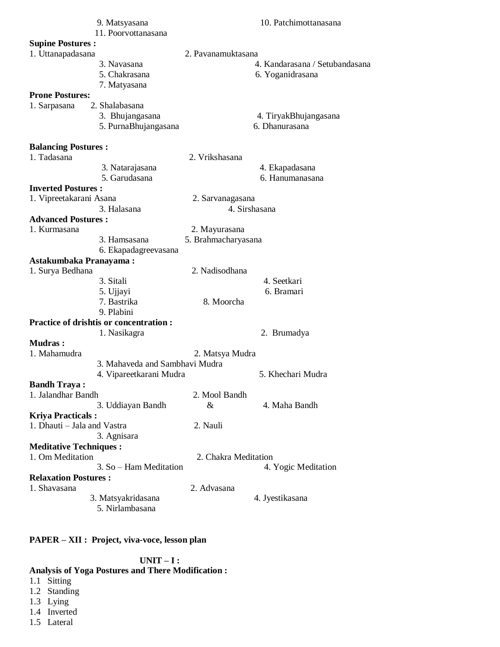|                               | 9. Matsyasana<br>11. Poorvottanasana          |                      | 10. Patchimottanasana                   |
|-------------------------------|-----------------------------------------------|----------------------|-----------------------------------------|
| <b>Supine Postures:</b>       |                                               |                      |                                         |
| 1. Uttanapadasana             |                                               | 2. Pavanamuktasana   |                                         |
|                               | 3. Navasana                                   |                      | 4. Kandarasana / Setubandasana          |
|                               | 5. Chakrasana                                 |                      | 6. Yoganidrasana                        |
|                               | 7. Matyasana                                  |                      |                                         |
| <b>Prone Postures:</b>        |                                               |                      |                                         |
| 1. Sarpasana                  | 2. Shalabasana                                |                      |                                         |
|                               | 3. Bhujangasana                               |                      | 4. TiryakBhujangasana<br>6. Dhanurasana |
|                               | 5. PurnaBhujangasana                          |                      |                                         |
| <b>Balancing Postures:</b>    |                                               |                      |                                         |
| 1. Tadasana                   |                                               | 2. Vrikshasana       |                                         |
|                               | 3. Natarajasana                               |                      | 4. Ekapadasana                          |
|                               | 5. Garudasana                                 |                      | 6. Hanumanasana                         |
| <b>Inverted Postures:</b>     |                                               |                      |                                         |
| 1. Vipreetakarani Asana       |                                               | 2. Sarvanagasana     |                                         |
|                               | 3. Halasana                                   |                      | 4. Sirshasana                           |
| <b>Advanced Postures:</b>     |                                               |                      |                                         |
| 1. Kurmasana                  |                                               | 2. Mayurasana        |                                         |
|                               | 3. Hamsasana                                  | 5. Brahmacharyasana  |                                         |
|                               | 6. Ekapadagreevasana                          |                      |                                         |
| Astakumbaka Pranayama:        |                                               |                      |                                         |
| 1. Surya Bedhana              |                                               | 2. Nadisodhana       |                                         |
|                               | 3. Sitali                                     |                      | 4. Seetkari                             |
|                               | 5. Ujjayi                                     |                      | 6. Bramari                              |
|                               | 7. Bastrika                                   | 8. Moorcha           |                                         |
|                               | 9. Plabini                                    |                      |                                         |
|                               | <b>Practice of drishtis or concentration:</b> |                      | 2. Brumadya                             |
| Mudras:                       | 1. Nasikagra                                  |                      |                                         |
| 1. Mahamudra                  |                                               | 2. Matsya Mudra      |                                         |
|                               | 3. Mahaveda and Sambhavi Mudra                |                      |                                         |
|                               | 4. Vipareetkarani Mudra                       |                      | 5. Khechari Mudra                       |
| <b>Bandh Traya:</b>           |                                               |                      |                                         |
| 1. Jalandhar Bandh            |                                               | 2. Mool Bandh        |                                         |
|                               | 3. Uddiayan Bandh                             | &                    | 4. Maha Bandh                           |
| <b>Kriya Practicals:</b>      |                                               |                      |                                         |
| 1. Dhauti - Jala and Vastra   |                                               | 2. Nauli             |                                         |
|                               | 3. Agnisara                                   |                      |                                         |
| <b>Meditative Techniques:</b> |                                               |                      |                                         |
| 1. Om Meditation              |                                               | 2. Chakra Meditation |                                         |
|                               | 3. So – Ham Meditation                        |                      | 4. Yogic Meditation                     |
| <b>Relaxation Postures:</b>   |                                               |                      |                                         |
| 1. Shavasana                  |                                               | 2. Advasana          |                                         |
|                               | 3. Matsyakridasana                            |                      | 4. Jyestikasana                         |
|                               | 5. Nirlambasana                               |                      |                                         |

#### **PAPER – XII : Project, viva-voce, lesson plan**

#### **UNIT – I :**

## **Analysis of Yoga Postures and There Modification :**

- 1.1 Sitting
- 1.2 Standing
- 1.3 Lying
- 1.4 Inverted
- 1.5 Lateral